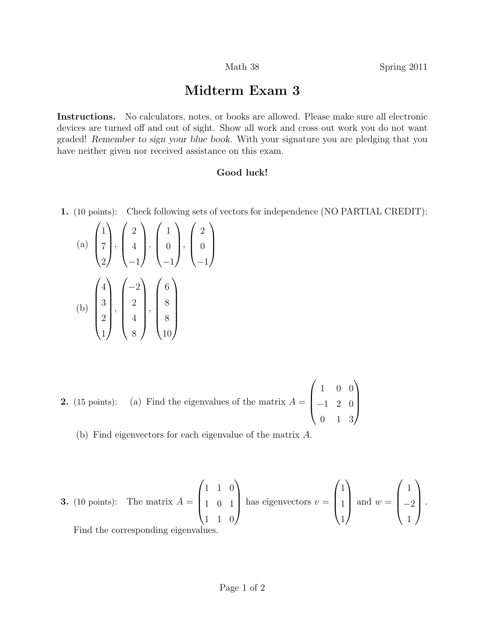## Midterm Exam 3

Instructions. No calculators, notes, or books are allowed. Please make sure all electronic devices are turned off and out of sight. Show all work and cross out work you do not want graded! Remember to sign your blue book. With your signature you are pledging that you have neither given nor received assistance on this exam.

## Good luck!

1. (10 points): Check following sets of vectors for independence (NO PARTIAL CREDIT):

(a) 
$$
\begin{pmatrix} 1 \\ 7 \\ 2 \end{pmatrix}
$$
,  $\begin{pmatrix} 2 \\ 4 \\ -1 \end{pmatrix}$ ,  $\begin{pmatrix} 1 \\ 0 \\ -1 \end{pmatrix}$ ,  $\begin{pmatrix} 2 \\ 0 \\ -1 \end{pmatrix}$   
\n(b)  $\begin{pmatrix} 4 \\ 3 \\ 2 \\ 1 \end{pmatrix}$ ,  $\begin{pmatrix} -2 \\ 2 \\ 4 \\ 8 \end{pmatrix}$ ,  $\begin{pmatrix} 6 \\ 8 \\ 8 \\ 10 \end{pmatrix}$ 

**2.** (15 points): (a) Find the eigenvalues of the matrix 
$$
A = \begin{pmatrix} 1 & 0 & 0 \\ -1 & 2 & 0 \\ 0 & 1 & 3 \end{pmatrix}
$$

(b) Find eigenvectors for each eigenvalue of the matrix A.

**3.** (10 points): The matrix 
$$
A = \begin{pmatrix} 1 & 1 & 0 \\ 1 & 0 & 1 \\ 1 & 1 & 0 \end{pmatrix}
$$
 has eigenvectors  $v = \begin{pmatrix} 1 \\ 1 \\ 1 \end{pmatrix}$  and  $w = \begin{pmatrix} 1 \\ -2 \\ 1 \end{pmatrix}$ .  
Find the corresponding eigenvalues.